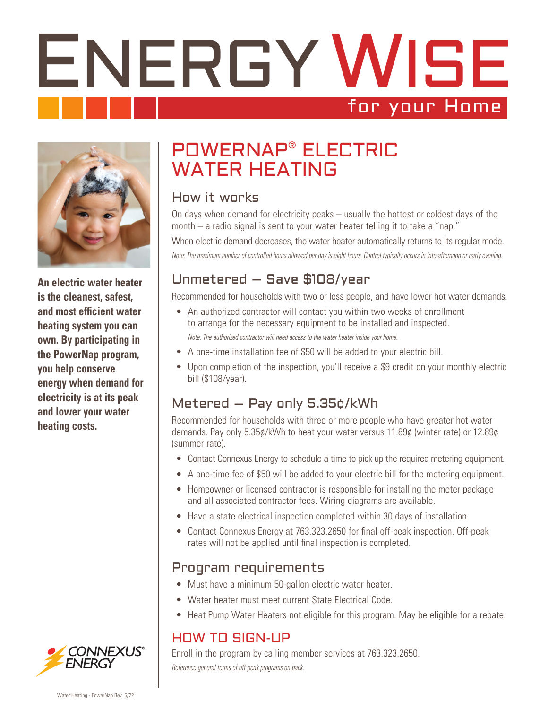# ENERGY WISE for your Home



**An electric water heater is the cleanest, safest, and most efficient water heating system you can own. By participating in the PowerNap program, you help conserve energy when demand for electricity is at its peak and lower your water heating costs.** 

## POWERNAP® ELECTRIC WATER HEATING

#### How it works

On days when demand for electricity peaks – usually the hottest or coldest days of the month – a radio signal is sent to your water heater telling it to take a "nap." When electric demand decreases, the water heater automatically returns to its regular mode. *Note: The maximum number of controlled hours allowed per day is eight hours. Control typically occurs in late afternoon or early evening.*

## Unmetered – Save \$108/year

Recommended for households with two or less people, and have lower hot water demands.

- An authorized contractor will contact you within two weeks of enrollment to arrange for the necessary equipment to be installed and inspected. *Note: The authorized contractor will need access to the water heater inside your home.*
- A one-time installation fee of \$50 will be added to your electric bill.
- Upon completion of the inspection, you'll receive a \$9 credit on your monthly electric bill (\$108/year).

## Metered – Pay only 5.35¢/kWh

Recommended for households with three or more people who have greater hot water demands. Pay only 5.35¢/kWh to heat your water versus 11.89¢ (winter rate) or 12.89¢ (summer rate).

- Contact Connexus Energy to schedule a time to pick up the required metering equipment.
- A one-time fee of \$50 will be added to your electric bill for the metering equipment.
- Homeowner or licensed contractor is responsible for installing the meter package and all associated contractor fees. Wiring diagrams are available.
- Have a state electrical inspection completed within 30 days of installation.
- Contact Connexus Energy at 763.323.2650 for final off-peak inspection. Off-peak rates will not be applied until final inspection is completed.

#### Program requirements

- Must have a minimum 50-gallon electric water heater.
- Water heater must meet current State Electrical Code.
- Heat Pump Water Heaters not eligible for this program. May be eligible for a rebate.

## HOW TO SIGN-UP

Enroll in the program by calling member services at 763.323.2650. *Reference general terms of off-peak programs on back.*